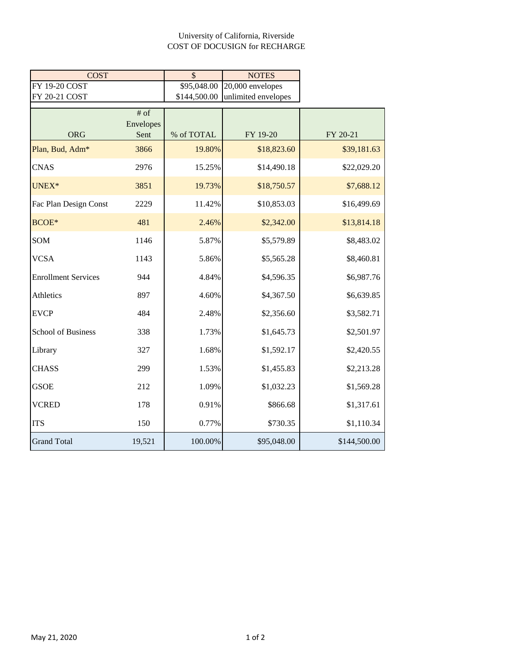## University of California, Riverside COST OF DOCUSIGN for RECHARGE

| <b>COST</b>                |           | $\mathcal{S}$ | <b>NOTES</b>        |              |
|----------------------------|-----------|---------------|---------------------|--------------|
| FY 19-20 COST              |           | \$95,048.00   | 20,000 envelopes    |              |
| FY 20-21 COST              |           | \$144,500.00  | unlimited envelopes |              |
|                            | $#$ of    |               |                     |              |
|                            | Envelopes |               |                     |              |
| <b>ORG</b>                 | Sent      | % of TOTAL    | FY 19-20            | FY 20-21     |
| Plan, Bud, Adm*            | 3866      | 19.80%        | \$18,823.60         | \$39,181.63  |
| <b>CNAS</b>                | 2976      | 15.25%        | \$14,490.18         | \$22,029.20  |
| UNEX*                      | 3851      | 19.73%        | \$18,750.57         | \$7,688.12   |
| Fac Plan Design Const      | 2229      | 11.42%        | \$10,853.03         | \$16,499.69  |
| BCOE*                      | 481       | 2.46%         | \$2,342.00          | \$13,814.18  |
| SOM                        | 1146      | 5.87%         | \$5,579.89          | \$8,483.02   |
| <b>VCSA</b>                | 1143      | 5.86%         | \$5,565.28          | \$8,460.81   |
| <b>Enrollment Services</b> | 944       | 4.84%         | \$4,596.35          | \$6,987.76   |
| Athletics                  | 897       | 4.60%         | \$4,367.50          | \$6,639.85   |
| <b>EVCP</b>                | 484       | 2.48%         | \$2,356.60          | \$3,582.71   |
| <b>School of Business</b>  | 338       | 1.73%         | \$1,645.73          | \$2,501.97   |
| Library                    | 327       | 1.68%         | \$1,592.17          | \$2,420.55   |
| <b>CHASS</b>               | 299       | 1.53%         | \$1,455.83          | \$2,213.28   |
| <b>GSOE</b>                | 212       | 1.09%         | \$1,032.23          | \$1,569.28   |
| <b>VCRED</b>               | 178       | 0.91%         | \$866.68            | \$1,317.61   |
| <b>ITS</b>                 | 150       | 0.77%         | \$730.35            | \$1,110.34   |
| <b>Grand Total</b>         | 19,521    | 100.00%       | \$95,048.00         | \$144,500.00 |